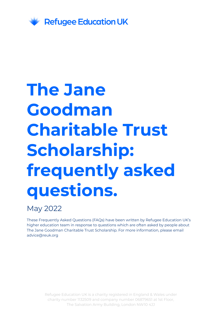

# **The Jane Goodman Charitable Trust Scholarship: frequently asked questions.**

#### May 2022

These Frequently Asked Questions (FAQs) have been written by Refugee Education UK's higher education team in response to questions which are often asked by people about The Jane Goodman Charitable Trust Scholarship. For more information, please email advice@reuk.org

> Refugee Education UK is a charity registered in England & Wales under charity number 1132509 and company number 06879651 at 1st Floor, The Salvation Army Building, London NW10 4JJ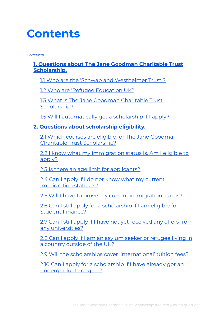# <span id="page-1-0"></span>**Contents**

**[Contents](#page-1-0)** 

#### **1. Questions about The Jane Goodman [Charitable](#page-3-0) Trust [Scholarship.](#page-3-0)**

1.1 Who are the 'Schwab and [Westheimer](#page-3-1) Trust'?

1.2 Who are 'Refugee [Education](#page-3-2) UK?

1.3 What is The Jane Goodman [Charitable](#page-3-3) Trust [Scholarship?](#page-3-3)

1.5 Will I [automatically](#page-4-0) get a scholarship if I apply?

#### **2. Questions about [scholarship](#page-4-1) eligibility.**

2.1 Which courses are eligible for The Jane [Goodman](#page-4-2) Charitable Trust [Scholarship?](#page-4-2)

2.2 I know what my [immigration](#page-5-0) status is. Am I eligible to [apply?](#page-5-0)

2.3 Is there an age limit for [applicants?](#page-5-1)

2.4 Can I apply if I do not know what my [current](#page-5-2) [immigration](#page-5-2) status is?

2.5 Will I have to prove my current [immigration](#page-5-3) status?

2.6 Can I still apply for a [scholarship](#page-5-4) if I am eligible for Student [Finance?](#page-5-4)

2.7 Can I still apply if I have not yet [received](#page-5-5) any offers from any [universities?](#page-5-5)

2.8 Can I apply if I am an asylum seeker or [refugee](#page-5-6) living in a [country](#page-5-6) outside of the UK?

2.9 Will the scholarships cover ['international'](#page-6-0) tuition fees?

2.10 Can I apply for a [scholarship](#page-6-1) if I have already got an [undergraduate](#page-6-1) degree?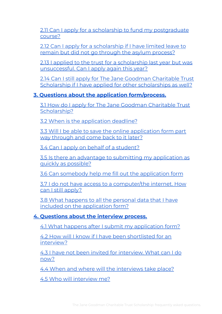2.11 Can I apply for a scholarship to fund my [postgraduate](#page-6-2) [course?](#page-6-2)

2.12 Can I apply for a [scholarship](#page-6-3) if I have limited leave to remain but did not go through the asylum [process?](#page-6-3)

2.13 I applied to the trust for a [scholarship](#page-6-4) last year but was [unsuccessful.](#page-6-4) Can I apply again this year?

2.14 Can I still apply for The Jane Goodman [Charitable](#page-7-0) Trust Scholarship if I have applied for other [scholarships](#page-7-0) as well?

#### **3. Questions about the application [form/process.](#page-7-1)**

3.1 How do I apply for The Jane Goodman [Charitable](#page-7-2) Trust [Scholarship?](#page-7-2)

3.2 When is the [application](#page-7-3) deadline?

3.3 Will I be able to save the online [application](#page-7-4) form part way [through](#page-7-4) and come back to it later?

3.4 Can I apply on behalf of a [student?](#page-7-5)

3.5 Is there an advantage to submitting my [application](#page-8-0) as quickly as [possible?](#page-8-0)

3.6 Can somebody help me fill out the [application](#page-8-1) form

3.7 I do not have access to a [computer/the](#page-8-2) internet. How can I still [apply?](#page-8-2)

3.8 What [happens](#page-8-3) to all the personal data that I have included on the [application](#page-8-3) form?

#### **4. [Questions](#page-8-4) about the interview process.**

4.1 What happens after I submit my [application](#page-8-5) form?

4.2 How will I know if I have been [shortlisted](#page-8-6) for an [interview?](#page-8-6)

4.3 I have not been invited for [interview.](#page-9-0) What can I do [now?](#page-9-0)

4.4 When and where will the [interviews](#page-9-1) take place?

4.5 Who will [interview](#page-9-2) me?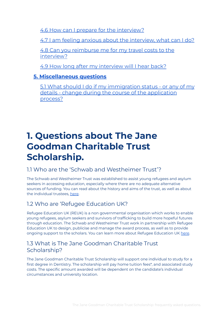4.6 How can I prepare for the [interview?](#page-9-3)

4.7 I am feeling anxious about the [interview,](#page-10-0) what can I do?

4.8 Can you [reimburse](#page-10-1) me for my travel costs to the [interview?](#page-10-1)

4.9 How long after my [interview](#page-10-2) will I hear back?

#### **5. [Miscellaneous](#page-10-3) questions**

5.1 What should I do if my [immigration](#page-10-4) status - or any of my details - change during the course of the [application](#page-10-4) [process?](#page-10-4)

# **1. Questions about The Jane Goodman Charitable Trust Scholarship.**

#### <span id="page-3-1"></span><span id="page-3-0"></span>1.1 Who are the 'Schwab and Westheimer Trust'?

The Schwab and Westheimer Trust was established to assist young refugees and asylum seekers in accessing education, especially where there are no adequate alternative sources of funding. You can read about the history and aims of the trust, as well as about the individual trustees, [here](http://swtrust.org.uk/about.html).

#### <span id="page-3-2"></span>1.2 Who are 'Refugee Education UK?

Refugee Education UK (REUK) is a non governmental organisation which works to enable young refugees, asylum seekers and survivors of trafficking to build more hopeful futures through education. The Schwab and Westheimer Trust work in partnership with Refugee Education UK to design, publicise and manage the award process, as well as to provide ongoing support to the scholars. You can learn more about Refugee Education UK [here](https://www.reuk.org/).

#### <span id="page-3-3"></span>1.3 What is The Jane Goodman Charitable Trust Scholarship?

The Jane Goodman Charitable Trust Scholarship will support one individual to study for a first degree in Dentistry. The scholarship will pay home tuition fees\*, and associated study costs. The specific amount awarded will be dependent on the candidate's individual circumstances and university location.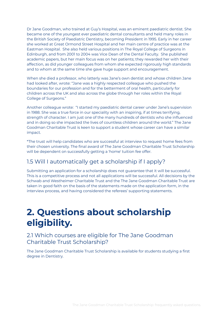Dr Jane Goodman, who trained at Guy's Hospital, was an eminent paediatric dentist. She became one of the youngest ever paediatric dental consultants and held many roles in the British Society of Paediatric Dentistry, becoming President in 1995. Early in her career she worked at Great Ormond Street Hospital and her main centre of practice was at the Eastman Hospital. She also held various positions in The Royal College of Surgeons in Edinburgh, and from 2001 to 2004 was Vice Dean of the Dental Faculty. She published academic papers, but her main focus was on her patients; they rewarded her with their affection, as did younger colleagues from whom she expected rigorously high standards and to whom at the same time she gave huge support and encouragement.

When she died a professor, who latterly was Jane's own dentist and whose children Jane had looked after, wrote: "Jane was a highly respected colleague who pushed the boundaries for our profession and for the betterment of oral health, particularly for children across the UK and also across the globe through her roles within the Royal College of Surgeons."

Another colleague wrote: "I started my paediatric dental career under Jane's supervision in 1988. She was a true force in our speciality with an inspiring, if at times terrifying, strength of character. I am just one of the many hundreds of dentists who she influenced and in doing so she impacted the lives of countless children around the world." The Jane Goodman Charitable Trust is keen to support a student whose career can have a similar impact.

\*The trust will help candidates who are successful at interview to request home fees from their chosen university. The final award of The Jane Goodman Charitable Trust Scholarship will be dependent on successfully getting a 'home' tuition fee offer.

#### <span id="page-4-0"></span>1.5 Will I automatically get a scholarship if I apply?

Submitting an application for a scholarship does not guarantee that it will be successful. This is a competitive process and not all applications will be successful. All decisions by the Schwab and Westheimer Charitable Trust and the The Jane Goodman Charitable Trust are taken in good faith on the basis of the statements made on the application form, in the interview process, and having considered the referees' supporting statements.

# <span id="page-4-1"></span>**2. Questions about scholarship eligibility.**

#### <span id="page-4-2"></span>2.1 Which courses are eligible for The Jane Goodman Charitable Trust Scholarship?

The Jane Goodman Charitable Trust Scholarship is available for students studying a first degree in Dentistry.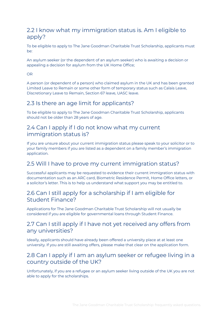#### <span id="page-5-0"></span>2.2 I know what my immigration status is. Am I eligible to apply?

To be eligible to apply to The Jane Goodman Charitable Trust Scholarship, applicants must be:

An asylum seeker (or the dependent of an asylum seeker) who is awaiting a decision or appealing a decision for asylum from the UK Home Office;

OR

A person (or dependent of a person) who claimed asylum in the UK and has been granted Limited Leave to Remain or some other form of temporary status such as Calais Leave, Discretionary Leave to Remain, Section 67 leave, UASC leave.

#### <span id="page-5-1"></span>2.3 Is there an age limit for applicants?

To be eligible to apply to The Jane Goodman Charitable Trust Scholarship, applicants should not be older than 28 years of age.

#### <span id="page-5-2"></span>2.4 Can I apply if I do not know what my current immigration status is?

If you are unsure about your current immigration status please speak to your solicitor or to your family members if you are listed as a dependent on a family member's immigration application.

#### <span id="page-5-3"></span>2.5 Will I have to prove my current immigration status?

Successful applicants may be requested to evidence their current immigration status with documentation such as an ARC card, Biometric Residence Permit, Home Office letters, or a solicitor's letter. This is to help us understand what support you may be entitled to.

#### <span id="page-5-4"></span>2.6 Can I still apply for a scholarship if I am eligible for Student Finance?

Applications for The Jane Goodman Charitable Trust Scholarship will not usually be considered if you are eligible for governmental loans through Student Finance.

#### <span id="page-5-5"></span>2.7 Can I still apply if I have not yet received any offers from any universities?

Ideally, applicants should have already been offered a university place at at least one university. If you are still awaiting offers, please make that clear on the application form.

#### <span id="page-5-6"></span>2.8 Can I apply if I am an asylum seeker or refugee living in a country outside of the UK?

Unfortunately, if you are a refugee or an asylum seeker living outside of the UK you are not able to apply for the scholarships.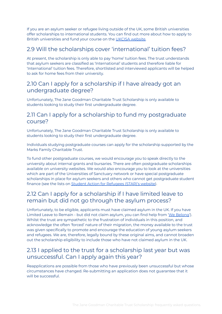If you are an asylum seeker or refugee living outside of the UK, some British universities offer scholarships to international students. You can find out more about how to apply to British universities and fund your course on the UKCISA [website.](https://www.ukcisa.org.uk/)

#### <span id="page-6-0"></span>2.9 Will the scholarships cover 'international' tuition fees?

At present, the scholarship is only able to pay 'home' tuition fees. The trust understands that asylum seekers are classified as 'International' students and therefore liable for 'International' tuition fees. Therefore, shortlisted and interviewed applicants will be helped to ask for home fees from their university.

#### <span id="page-6-1"></span>2.10 Can I apply for a scholarship if I have already got an undergraduate degree?

Unfortunately, The Jane Goodman Charitable Trust Scholarship is only available to students looking to study their first undergraduate degree.

#### <span id="page-6-2"></span>2.11 Can I apply for a scholarship to fund my postgraduate course?

Unfortunately, The Jane Goodman Charitable Trust Scholarship is only available to students looking to study their first undergraduate degree.

Individuals studying postgraduate courses can apply for the scholarship supported by the Marks Family Charitable Trust.

To fund other postgraduate courses, we would encourage you to speak directly to the university about internal grants and bursaries. There are often postgraduate scholarships available on university websites. We would also encourage you to look at the universities which are part of the Universities of Sanctuary network or have special postgraduate scholarships in place for asylum seekers and others who cannot get postgraduate student finance (see the lists on Student Action for [Refugees](https://star-network.org.uk/access-to-university/scholarships/list/) (STAR)'s website).

#### <span id="page-6-3"></span>2.12 Can I apply for a scholarship if I have limited leave to remain but did not go through the asylum process?

Unfortunately, to be eligible, applicants must have claimed asylum in the UK. If you have Limited Leave to Remain - but did not claim asylum, you can find help from 'We [Belong](https://www.webelong.org.uk/young-gifted-and-blocked)'). Whilst the trust are sympathetic to the frustration of individuals in this position, and acknowledge the often 'forced' nature of their migration, the money available to the trust was given specifically to promote and encourage the education of young asylum seekers and refugees. We are, therefore, legally bound by these original aims, and cannot broaden out the scholarship eligibility to include those who have not claimed asylum in the UK.

#### <span id="page-6-4"></span>2.13 I applied to the trust for a scholarship last year but was unsuccessful. Can I apply again this year?

Reapplications are possible from those who have previously been unsuccessful but whose circumstances have changed. Re-submitting an application does not guarantee that it will be successful.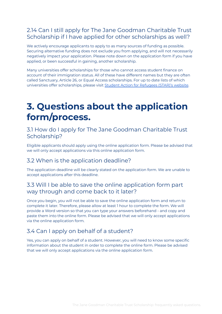#### <span id="page-7-0"></span>2.14 Can I still apply for The Jane Goodman Charitable Trust Scholarship if I have applied for other scholarships as well?

We actively encourage applicants to apply to as many sources of funding as possible. Securing alternative funding does not exclude you from applying, and will not necessarily negatively impact your application. Please note down on the application form if you have applied, or been successful in gaining, another scholarship.

Many universities offer scholarships for those who cannot access student finance on account of their immigration status. All of these have different names but they are often called Sanctuary, Article 26, or Equal Access scholarships. For up to date lists of which universities offer scholarships, please visit Student Action for [Refugees](https://star-network.org.uk/access-to-university/scholarships/list/) (STAR)'s website.

# <span id="page-7-1"></span>**3. Questions about the application form/process.**

#### <span id="page-7-2"></span>3.1 How do I apply for The Jane Goodman Charitable Trust Scholarship?

Eligible applicants should apply using the online application form. Please be advised that we will only accept applications via this online application form.

#### <span id="page-7-3"></span>3.2 When is the application deadline?

The application deadline will be clearly stated on the application form. We are unable to accept applications after this deadline.

#### <span id="page-7-4"></span>3.3 Will I be able to save the online application form part way through and come back to it later?

Once you begin, you will not be able to save the online application form and return to complete it later. Therefore, please allow at least 1 hour to complete the form. We will provide a Word version so that you can type your answers beforehand - and copy and paste them into the online form. Please be advised that we will only accept applications via the online application form.

#### <span id="page-7-5"></span>3.4 Can I apply on behalf of a student?

Yes, you can apply on behalf of a student. However, you will need to know some specific information about the student in order to complete the online form. Please be advised that we will only accept applications via the online application form.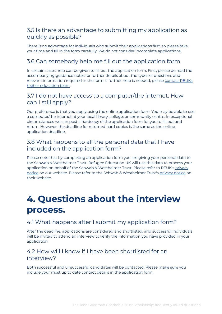#### <span id="page-8-0"></span>3.5 Is there an advantage to submitting my application as quickly as possible?

There is no advantage for individuals who submit their applications first, so please take your time and fill in the form carefully. We do not consider incomplete applications.

#### <span id="page-8-1"></span>3.6 Can somebody help me fill out the application form

In certain cases help can be given to fill out the application form. First, please do read the accompanying guidance notes for further details about the types of questions and relevant information required in the form. If further help is needed, please [contact](mailto:advice@reuk.org) REUKs higher [education](mailto:advice@reuk.org) team.

#### <span id="page-8-2"></span>3.7 I do not have access to a computer/the internet. How can I still apply?

Our preference is that you apply using the online application form. You may be able to use a computer/the internet at your local library, college, or community centre. In exceptional circumstances we can post a hardcopy of the application form for you to fill out and return. However, the deadline for returned hard copies is the same as the online application deadline.

#### <span id="page-8-3"></span>3.8 What happens to all the personal data that I have included on the application form?

Please note that by completing an application form you are giving your personal data to the Schwab & Westheimer Trust. Refugee Education UK will use this data to process your application on behalf of the Schwab & Westheimer Trust. Please refer to REUK's [privacy](https://02c53844-21e1-4850-80b2-9464608e515f.filesusr.com/ugd/d5aa55_14d8bb208939401dbd4d4e40a7daca37.pdf) [notice](https://02c53844-21e1-4850-80b2-9464608e515f.filesusr.com/ugd/d5aa55_14d8bb208939401dbd4d4e40a7daca37.pdf) on our website. Please refer to the Schwab & Westheimer Trust's [privacy](http://swtrust.org.uk/documents/SWT-Privacy-Policy.pdf) notice on their website.

# <span id="page-8-4"></span>**4. Questions about the interview process.**

#### <span id="page-8-5"></span>4.1 What happens after I submit my application form?

After the deadline, applications are considered and shortlisted, and successful individuals will be invited to attend an interview to verify the information you have provided in your application.

#### <span id="page-8-6"></span>4.2 How will I know if I have been shortlisted for an interview?

Both successful and unsuccessful candidates will be contacted. Please make sure you include your most up to date contact details in the application form.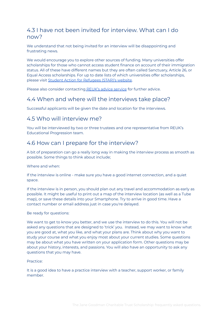#### <span id="page-9-0"></span>4.3 I have not been invited for interview. What can I do now?

We understand that not being invited for an interview will be disappointing and frustrating news.

We would encourage you to explore other sources of funding. Many universities offer scholarships for those who cannot access student finance on account of their immigration status. All of these have different names but they are often called Sanctuary, Article 26, or Equal Access scholarships. For up to date lists of which universities offer scholarships, please visit Student Action for [Refugees](https://star-network.org.uk/access-to-university/scholarships/list/) (STAR)'s website.

Please also consider contacting [REUK's](mailto:advice@reuk.org) advice service for further advice.

#### <span id="page-9-1"></span>4.4 When and where will the interviews take place?

Successful applicants will be given the date and location for the interviews.

#### <span id="page-9-2"></span>4.5 Who will interview me?

You will be interviewed by two or three trustees and one representative from REUK's Educational Progression team.

#### <span id="page-9-3"></span>4.6 How can I prepare for the interview?

A bit of preparation can go a really long way in making the interview process as smooth as possible. Some things to think about include;

Where and when:

If the interview is online - make sure you have a good internet connection, and a quiet space.

If the interview is in person, you should plan out any travel and accommodation as early as possible. It might be useful to print out a map of the interview location (as well as a Tube map), or save these details into your Smartphone. Try to arrive in good time. Have a contact number or email address just in case you're delayed.

Be ready for questions:

We want to get to know you better, and we use the interview to do this. You will not be asked any questions that are designed to 'trick' you. Instead, we may want to know what you are good at, what you like, and what your plans are. Think about why you want to study your course and what you enjoy most about your current studies. Some questions may be about what you have written on your application form. Other questions may be about your history, interests, and passions. You will also have an opportunity to ask any questions that you may have.

Practice:

It is a good idea to have a practice interview with a teacher, support worker, or family member.